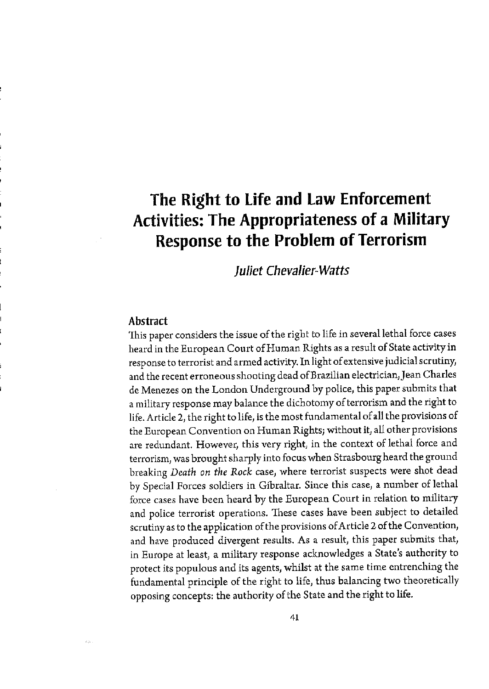# **The Right to life and law Enforcement Activities: The Appropriateness of a Military Response to the Problem of Terrorism**

**Juliet Chevalier-Watts** 

# **Abstract**

This paper considers the issue of the right to life in several lethal force cases heard in the European Court of Human Rights as a result of State activity in response to terrorist and armed activity. In light of extensive judicial scrutiny, and the recent erroneous shooting dead ofBrazilian electrician,Jean Charles de Menezes on the London Underground by police, this paper submits that a military response may balance the dichotomy of terrorism and the right to life. Article 2, the right to life, is the most fundamental ofall the provisions of the European Convention on Human Rights; without it, all other provisions are redundant. However, this very right, in the context of lethal force and terrorism, was brought sharply into focus when Strasbourg heard the ground breaking *Death on the Rock* case, where terrorist suspects were shot dead by Special Forces soldiers in Gibraltar. Since this case, a number of lethal force cases have been heard by the European Court in relation to military and police terrorist operations. These cases have been subject to detailed scrutiny as to the application of the provisions of Article 2 of the Convention, and have produced divergent results. As a result, this paper submits that, in Europe at least, a military response acknowledges a State's authority to protect its populous and its agents, whilst at the same time entrenching the fundamental principle of the right to life, thus balancing two theoretically opposing concepts: the authority of the State and the right to life.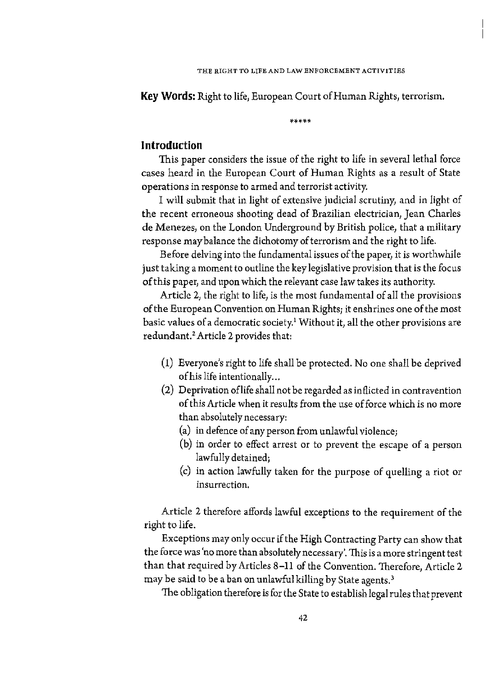**Key Words:** Right to life, European Court of Human Rights, terrorism.

\*\*\*\*\*

# **Introduction**

This paper considers the issue of the right to life in several lethal force cases heard in the European Court of Human Rights as a result of State operations in response to armed and terrorist activity.

I will submit that in light of extensive judicial scrutiny, and in light of the recent erroneous shooting dead of Brazilian electrician, Jean Charles de Menezes, on the London Underground by British police, that a military response may balance the dichotomy of terrorism and the right to life.

Before delving into the fundamental issues of the paper, it is worthwhile just taking a moment to outline the key legislative provision that is the focus of this paper, and upon which the relevant case law takes its authority.

Article 2, the right to life, is the most fundamental of all the provisions of the European Convention on Human Rights; it enshrines one of the most basic values of a democratic society.' Without it, all the other provisions are redundant.' Article 2 provides that:

- (1) Everyone's right to life shall be protected. No one shall be deprived of his life intentionally...
- (2) Deprivation oflife shall not be regarded as inflicted in contravention of this Article when it results from the use of force which is no more than absolutely necessary:
	- (a) in defence of any person from unlawful violence;
	- (b) in order to effect arrest or to prevent the escape of a person lawfully detained;
	- (c) in action lawfully taken for the purpose of quelling a riot or **insurrection.**

Article 2 therefore affords lawful exceptions to the requirement of the right to life.

Exceptions may only occur if the High Contracting Party can show that the force was 'no more than absolutely necessary'. This is a more stringent test than that required by Articles 8-11 of the Convention. Therefore, Article 2 may be said to be a ban on unlawful killing by State agents. 3

The obligation therefore is for the State to establish legal rules that prevent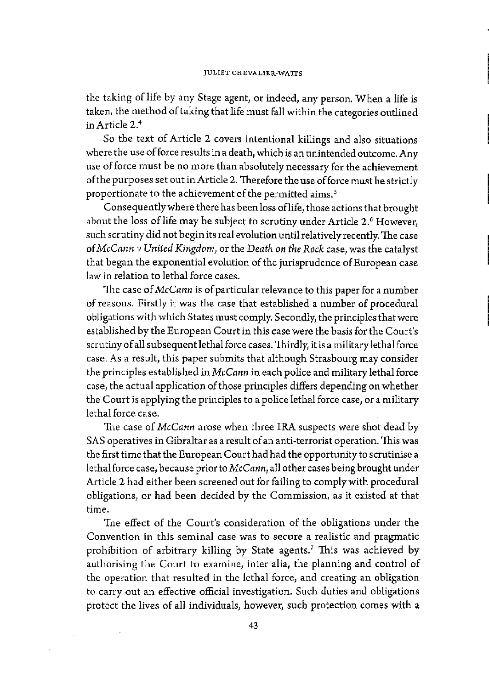the taking of life by any Stage agent, or indeed, any person. When a life is taken, the method of taking that life must fall within the categories outlined in Article 2.4

So the text of Article 2 covers intentional killings and also situations where the use of force results in a death, which is an unintended outcome. Any use of force must be no more than absolutely necessary for the achievement of the purposes set out in Article 2. Therefore the use of force must be strictly proportionate to the achievement of the permitted aims.<sup>5</sup>

Consequently where there has been loss of life, those actions that brought about the loss of life may be subject to scrutiny under Article 2.<sup>6</sup> However, such scrutiny did not begin its real evolution until relatively recently. The case of *McCann v United Kingdom,* or the *Death on the Rock* case, was the catalyst that began the exponential evolution of the jurisprudence of European case law in relation to lethal force cases.

1he case of *McCann* is of particular relevance to this paper for a number of reasons. Firstly it was the case that established a number of procedural obligations with which States must comply. Secondly, the principles that were established by the European Court in this case were the basis for the Court's scrutiny of all subsequent lethal force cases. Thirdly, it is a military lethal force case. As a result, this paper submits that although Strasbourg may consider the principles established in *Mc Cann* in each police and military lethal force case, the actual application of those principles differs depending on whether the Court is applying the principles to a police lethal force case, or a military lethal force case.

The case of *McCann* arose when three IRA suspects were shot dead by SAS operatives in Gibraltar as a result of an anti-terrorist operation. This was the first time that the European Court had had the opportunity to scrutinise a lethal force case, because prior to *McCann,* all other cases being brought under Article 2 had either been screened out for failing to comply with procedural obligations, or had been decided by the Commission, as it existed at that time.

The effect of the Court's consideration of the obligations under the Convention in this seminal case was to secure a realistic and pragmatic prohibition of arbitrary killing by State agents.<sup>7</sup> This was achieved by authorising the Court to examine, inter alia, the planning and control of the operation that resulted in the lethal force, and creating an obligation to carry out an effective official investigation. Such duties and obligations protect the lives of all individuals, however, such protection comes with a

 $\sim$  .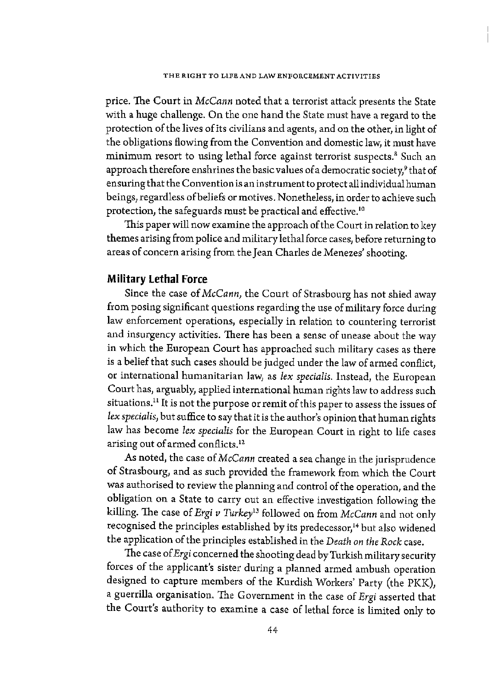price. The Court in *McCann* noted that a terrorist attack presents the State with a huge challenge. On the one hand the State must have a regard to the protection of the lives ofits civilians and agents, and on the other, in light of the obligations flowing from the Convention and domestic law, it must have minimum resort to using lethal force against terrorist suspects.<sup>8</sup> Such an approach therefore enshrines the basic values of a democratic society, $\theta$  that of ensuring that the Convention is an instrument to protect all individual human beings, regardless of beliefs or motives. Nonetheless, in order to achieve such protection, the safeguards must be practical and effective.10

This paper will now examine the approach of the Court in relation to key themes arising from police and military lethal force cases, before returning to areas of concern arising from the Jean Charles de Menezes' shooting.

# **Military Lethal Force**

Since the case of *McCann,* the Court of Strasbourg has not shied away from posing significant questions regarding the use of military force during law enforcement operations, especially in relation to countering terrorist and insurgency activities. There has been a sense of unease about the way in which the European Court has approached such military cases as there is a belief that such cases should be judged under the law of armed conflict, or international humanitarian law, as *lex specialis.* Instead, the European Court has, arguably, applied international human rights law to address such situations.<sup>11</sup> It is not the purpose or remit of this paper to assess the issues of lex specialis, but suffice to say that it is the author's opinion that human rights law has become *lex specialis* for the European Court in right to life cases arising out of armed conflicts.<sup>12</sup>

As noted, the case of *McCann* created a sea change in the jurisprudence of Strasbourg, and as such provided the framework from which the Court was authorised to review the planning and control of the operation, and the obligation on a State to carry out an effective investigation following the killing. The case of *Ergi v Turkey13* followed on from *McCann* and not only recognised the principles established by its predecessor,<sup>14</sup> but also widened the application of the principles established in the *Death on the Rock* case.

The case of *Ergi* concerned the shooting dead by Turkish military security forces of the applicant's sister during a planned armed ambush operation designed to capture members of the Kurdish Workers' Party (the PKK), a guerrilla organisation. The Government in the case of *Ergi* asserted that the Court's authority to examine a case of lethal force is limited only to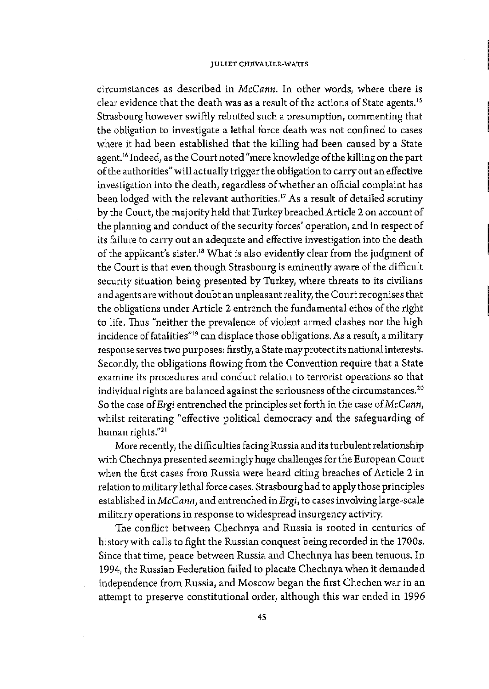### **JULIET CHBVALIBR-WATI'S**

circumstances as described in *McCann.* In other words, where there is clear evidence that the death was as a result of the actions of State agents. <sup>15</sup> Strasbourg however swiftly rebutted such a presumption, commenting that the obligation to investigate a lethal force death was not confined to cases where it had been established that the killing had been caused by a State agent. 16 Indeed, as the Court noted "mere knowledge of the killing on the part of the authorities" will actually trigger the obligation to carry out an effective investigation into the death, regardless of whether an official complaint has been lodged with the relevant authorities.<sup>17</sup> As a result of detailed scrutiny by the Court, the majority held that Turkey breached Article 2 on account of the planning and conduct of the security forces' operation, and in respect of its failure to carry out an adequate and effective investigation into the death of the applicant's sister.<sup>18</sup> What is also evidently clear from the judgment of the Court is that even though Strasbourg is eminently aware of the difficult security situation being presented by Turkey, where threats to its civilians and agents are without doubt an unpleasant reality, the Court recognises that the obligations under Article 2 entrench the fundamental ethos of the right to life. Thus "neither the prevalence of violent armed clashes nor the high incidence of fatalities"<sup>19</sup> can displace those obligations. As a result, a military response serves two purposes: firstly, a State may protect its national interests. Secondly, the obligations flowing from the Convention require that a State examine its procedures and conduct relation to terrorist operations so that individual rights are balanced against the seriousness of the circumstances. $^{20}$ So the case of *Ergi* entrenched the principles set forth in the case of *McCann,*  whilst reiterating "effective political democracy and the safeguarding of human rights."21

More recently, the difficulties facing Russia and its turbulent relationship with Chechnya presented seemingly huge challenges for the European Court when the first cases from Russia were heard citing breaches of Article 2 in relation to military lethal force cases. Strasbourg had to apply those principles established *inMcCann,* and entrenched *inErgi,* to cases involving large-scale military operations in response to widespread insurgency activity.

The conflict between Chechnya and Russia is rooted in centuries of history with calls to fight the Russian conquest being recorded in the 1700s. Since that time, peace between Russia and Chechnya has been tenuous. In 1994, the Russian Federation failed to placate Chechnya when it demanded independence from Russia, and Moscow began the first Chechen war in an attempt to preserve constitutional order, although this war ended in 1996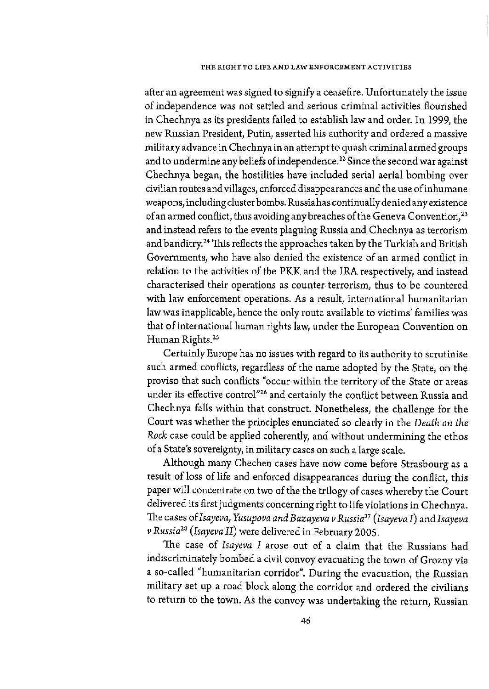### **THE RIGHT TO LIFE AND LAW ENFORCEMENT ACTIVITIES**

after an agreement was signed to signify a ceasefire. Unfortunately the issue of independence was not settled and serious criminal activities flourished in Chechnya as its presidents failed to establish law and order. In 1999, the new Russian President, Putin, asserted his authority and ordered a massive military advance in Chechnya in an attempt to quash criminal armed groups and to undermine any beliefs of independence.<sup>22</sup> Since the second war against Chechnya began, the hostilities have included serial aerial bombing over civilian routes and villages, enforced disappearances and the use ofinhumane weapons, including cluster bombs. Russia has continually denied any existence of an armed conflict, thus avoiding any breaches of the Geneva Convention, 23 and instead refers to the events plaguing Russia and Chechnya as terrorism and banditry.<sup>24</sup> This reflects the approaches taken by the Turkish and British Governments, who have also denied the existence of an armed conflict in relation to the activities of the PKK and the IRA respectively, and instead characterised their operations as counter-terrorism, thus to be countered with law enforcement operations. As a result, international humanitarian law was inapplicable, hence the only route available to victims' families was that of international human rights law, under the European Convention on Human Rights.<sup>25</sup>

Certainly Europe has no issues with regard to its authority to scrutinise such armed conflicts, regardless of the name adopted by the State, on the proviso that such conflicts "occur within the territory of the State or areas under its effective control"<sup>26</sup> and certainly the conflict between Russia and Chechnya falls within that construct. Nonetheless, the challenge for the Court was whether the principles enunciated so clearly in the *Death on the Rock* case could be applied coherently, and without undermining the ethos of a State's sovereignty, in military cases on such a large scale.

Although many Chechen cases have now come before Strasbourg as a result of loss of life and enforced disappearances during the conflict, this paper will concentrate on two of the the trilogy of cases whereby the Court delivered its first judgments concerning right to life violations in Chechnya. The cases *ofisayeva, Yusupova and Bazayeva v Russia27 (Isayeva* I) and *Isayeva v Russia28 (Isayeva* II) were delivered in February 2005.

The case of *Isayeva I* arose out of a claim that the Russians had indiscriminately bombed a civil convoy evacuating the town of Grozny via a so-called "humanitarian corridor". During the evacuation, the Russian military set up a road block along the corridor and ordered the civilians to return to the town. As the convoy was undertaking the return, Russian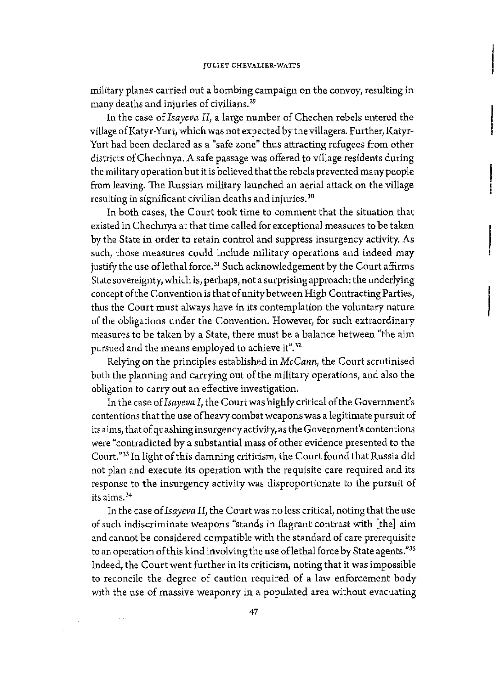military planes carried out a bombing campaign on the convoy, resulting in many deaths and injuries of civilians. 29

In the case of *Isayeva II,* a large number of Chechen rebels entered the village ofKatyr-Yurt, which was not expected by the villagers. Further, Katyr-Yurt had been declared as a "safe zone" thus attracting refugees from other districts of Chechnya. A safe passage was offered to village residents during the military operation but it is believed that the rebels prevented many people from leaving. The Russian military launched an aerial attack on the village resulting in significant civilian deaths and injuries. 30

In both cases, the Court took time to comment that the situation that existed in Chechnya at that time called for exceptional measures to be taken by the State in order to retain control and suppress insurgency activity. As such, those measures could include military operations and indeed may justify the use of lethal force.<sup>31</sup> Such acknowledgement by the Court affirms State sovereignty, which is, perhaps, not a surprising approach: the underlying concept of the Convention is that of unity between High Contracting Parties, thus the Court must always have in its contemplation the voluntary nature of the obligations under the Convention. However, for such extraordinary measures to be taken by a State, there must be a balance between "the aim pursued and the means employed to achieve it".<sup>32</sup>

Relying on the principles established in *McCann,* the Court scrutinised both the planning and carrying out of the military operations, and also the obligation to carry out an effective investigation.

In the case *ofisayevaI,* the Court was highly critical of the Government's contentions that the use of heavy combat weapons was a legitimate pursuit of its aims, that of quashing insurgency activity, as the Government's contentions were "contradicted by a substantial mass of other evidence presented to the Court."33 In light of this damning criticism, the Court found that Russia did not plan and execute its operation with the requisite care required and its response to the insurgency activity was disproportionate to the pursuit of **its aims.** <sup>34</sup>

In the case of *Isayeva II,* the Court was no less critical, noting that the use of such indiscriminate weapons "stands in flagrant contrast with [the] aim and cannot be considered compatible with the standard of care prerequisite to an operation of this kind involving the use oflethal force by State agents."<sup>35</sup> Indeed, the Court went further in its criticism, noting that it was impossible to reconcile the degree of caution required of a law enforcement body with the use of massive weaponry in a populated area without evacuating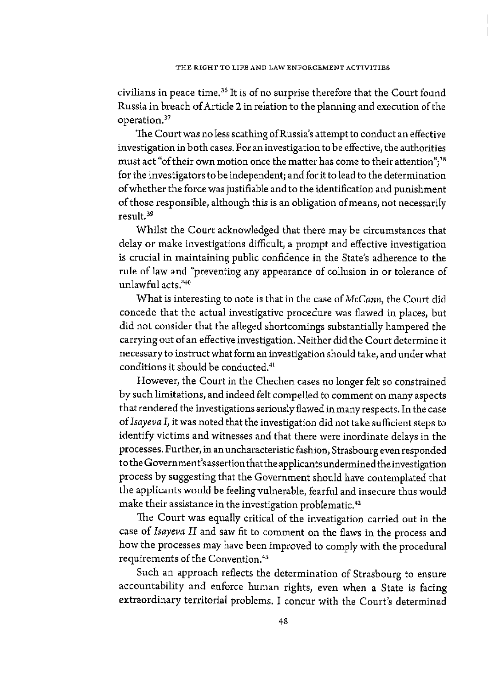civilians in peace time. 36 lt is of no surprise therefore that the Court found Russia in breach of Article 2 in relation to the planning and execution of the operation.<sup>37</sup>

The Court was no less scathing ofRussia's attempt to conduct an effective investigation in both cases. For an investigation to be effective, the authorities must act "of their own motion once the matter has come to their attention";<sup>38</sup> for the investigators to be independent; and for it to lead to the determination of whether the force was justifiable and to the identification and punishment of those responsible, although this is an obligation of means, not necessarily result. <sup>39</sup>

Whilst the Court acknowledged that there may be circumstances that delay or make investigations difficult, a prompt and effective investigation is crucial in maintaining public confidence in the State's adherence to the rule of law and "preventing any appearance of collusion in or tolerance of unlawful acts."40

What is interesting to note is that in the case of *McCann,* the Court did concede that the actual investigative procedure was flawed in places, but did not consider that the alleged shortcomings substantially hampered the carrying out of an effective investigation. Neither did the Court determine it necessary to instruct what form an investigation should take, and under what conditions it should be conducted.41

However, the Court in the Chechen cases no longer felt so constrained by such limitations, and indeed felt compelled to comment on many aspects that rendered the investigations seriously flawed in many respects. In the case of *Isayeva* I, it was noted that the investigation did not take sufficient steps to identify victims and witnesses and that there were inordinate delays in the processes. Further, in an uncharacteristic fashion, Strasbourg even responded to the Government's assertion that the applicants undermined the investigation process by suggesting that the Government should have contemplated that the applicants would be feeling vulnerable, fearful and insecure thus would make their assistance in the investigation problematic.<sup>42</sup>

The Court was equally critical of the investigation carried out in the case of *Isayeva II* and saw fit to comment on the flaws in the process and how the processes may have been improved to comply with the procedural requirements of the Convention. 43

Such an approach reflects the determination of Strasbourg to ensure accountability and enforce human rights, even when a State is facing extraordinary territorial problems. I concur with the Court's determined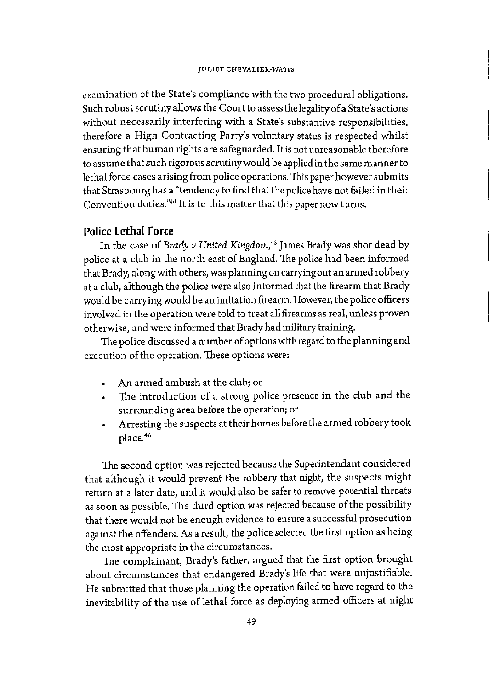examination of the State's compliance with the two procedural obligations. Such robust scrutiny allows the Court to assess the legality of a State's actions without necessarily interfering with a State's substantive responsibilities, therefore a High Contracting Party's voluntary status is respected whilst ensuring that human rights are safeguarded. It is not unreasonable therefore to assume that such rigorous scrutiny would be applied in the same manner to lethal force cases arising from police operations. This paper however submits that Strasbourg has a "tendency to find that the police have not failed in their Convention duties."44 It is to this matter that this paper now turns.

## **Police Lethal Force**

In the case of *Brady v United Kingdom,* 45 James Brady was shot dead by police at a club in the north east of England. The police had been informed that Brady, along with others, was planning on carrying out an armed robbery at a club, although the police were also informed that the firearm that Brady would be carrying would be an imitation firearm. However, the police officers involved in the operation were told to treat all firearms as real, unless proven otherwise, and were informed that Brady had military training.

The police discussed a number of options with regard to the planning and execution of the operation. These options were:

- An armed ambush at the club; or
- The introduction of a strong police presence in the club and the surrounding area before the operation; or
- Arresting the suspects at their homes before the armed robbery took place.<sup>46</sup>

The second option was rejected because the Superintendant considered that although it would prevent the robbery that night, the suspects might return at a later date, and it would also be safer to remove potential threats as soon as possible. The third option was rejected because of the possibility that there would not be enough evidence to ensure a successful prosecution against the offenders. As a result, the police selected the first option as being the most appropriate in the circumstances.

The complainant, Brady's father, argued that the first option brought about circumstances that endangered Brady's life that were unjustifiable. He submitted that those planning the operation failed to have regard to the inevitability of the use of lethal force as deploying armed officers at night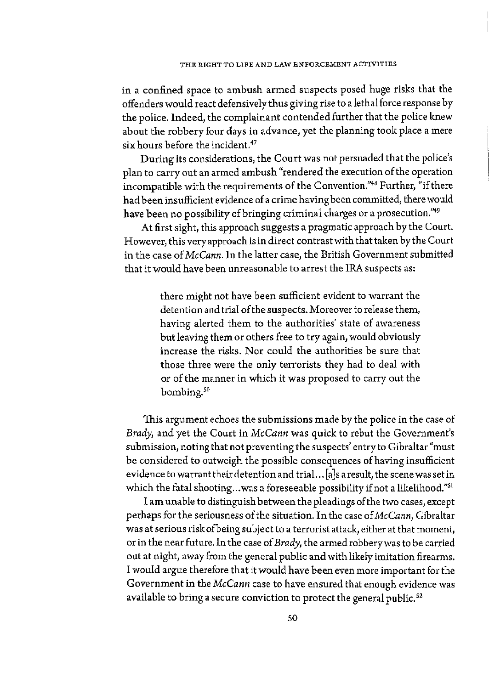in a confined space to ambush armed suspects posed huge risks that the offenders would react defensively thus giving rise to a lethal force response by the police. Indeed, the complainant contended further that the police knew about the robbery four days in advance, yet the planning took place a mere six hours before the incident.<sup>47</sup>

During its considerations, the Court was not persuaded that the police's plan to carry out an armed ambush "rendered the execution of the operation incompatible with the requirements of the Convention."48 Further, "if there had been insufficient evidence of a crime having been committed, there would have been no possibility of bringing criminal charges or a prosecution."<sup>49</sup>

At first sight, this approach suggests a pragmatic approach by the Court. However, this very approach is in direct contrast with that taken by the Court in the case *ofMcCann.* In the latter case, the British Government submitted that it would have been unreasonable to arrest the IRA suspects as:

> there might not have been sufficient evident to warrant the detention and trial of the suspects. Moreover to release them, having alerted them to the authorities' state of awareness but leaving them or others free to try again, would obviously increase the risks. Nor could the authorities be sure that those three were the only terrorists they had to deal with or of the manner in which it was proposed to carry out the bombing.<sup>50</sup>

This argument echoes the submissions made by the police in the case of *Brady,* and yet the Court in *McCann* was quick to rebut the Government's submission, noting that not preventing the suspects' entry to Gibraltar "must be considered to outweigh the possible consequences of having insufficient evidence to warrant their detention and trial. .. [ a]s a result, the scene was set in which the fatal shooting...was a foreseeable possibility if not a likelihood."<sup>51</sup>

I am unable to distinguish between the pleadings of the two cases, except perhaps for the seriousness of the situation. In the case of *McCann,* Gibraltar was at serious risk ofbeing subject to a terrorist attack, either at that moment, or in the near future. In the case of *Brady,* the armed robbery was to be carried out at night, away from the general public and with likely imitation firearms. I would argue therefore that it would have been even more important for the Government in the *McCann* case to have ensured that enough evidence was available to bring a secure conviction to protect the general public.<sup>52</sup>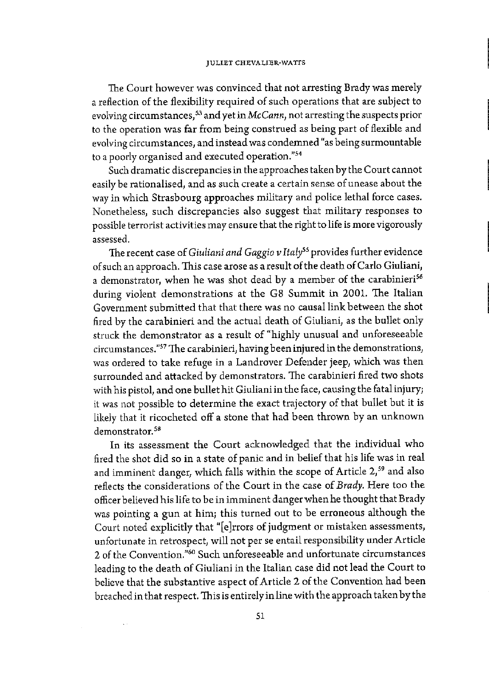The Court however was convinced that not arresting Brady was merely a reflection of the flexibility required of such operations that are subject to evolving circumstances, 53 and yet in *Mc Cann,* not arresting the suspects prior to the operation was far from being construed as being part of flexible and evolving circumstances, and instead was condemned "as being surmountable to a poorly organised and executed operation."<sup>54</sup>

Such dramatic discrepancies in the approaches taken by the Court cannot easily be rationalised, and as such create a certain sense of unease about the way in which Strasbourg approaches military and police lethal force cases. Nonetheless, such discrepancies also suggest that military responses to possible terrorist activities may ensure that the right to life is more vigorously assessed.

The recent case of *Giuliani and Gaggio v Italy"* provides further evidence of such an approach. This case arose as a result of the death of Carlo Giuliani, a demonstrator, when he was shot dead by a member of the carabinieri<sup>56</sup> during violent demonstrations at the G8 Summit in 2001. The Italian Government submitted that that there was no cansal link between the shot fired by the carabinieri and the actual death of Giuliani, as the bullet only struck the demonstrator as a result of "highly unusual and unforeseeable circumstances.''57 The carabinieri, having been injured in the demonstrations, was ordered to take refuge in a Landrover Defender jeep, which was then surrounded and attacked by demonstrators. The carabinieri fired two shots with his pistol, and one bullet hit Giuliani in the face, causing the fatal injury; it was not possible to determine the exact trajectory of that bullet but it is likely that it ricocheted off a stone that had been thrown by an unknown demonstrator.<sup>58</sup>

In its assessment the Court acknowledged that the individual who fired the shot did so in a state of panic and in belief that his life was in real and imminent danger, which falls within the scope of Article 2,<sup>59</sup> and also reflects the considerations of the Court in the case of *Brady.* Here too the officer believed his life to be in imminent danger when he thought that Brady was pointing a gun at him; this turned out to be erroneous although the Court noted explicitly that "[e]rrors of judgment or mistaken assessments, unfortunate in retrospect, will not per se entail responsibility under Article 2 of the Convention."60 Such unforeseeable and unfortunate circumstances leading to the death of Giuliani in the Italian case did not lead the Court to believe that the substantive aspect of Article 2 of the Convention had been breached in that respect. This is entirely in line with the approach taken by the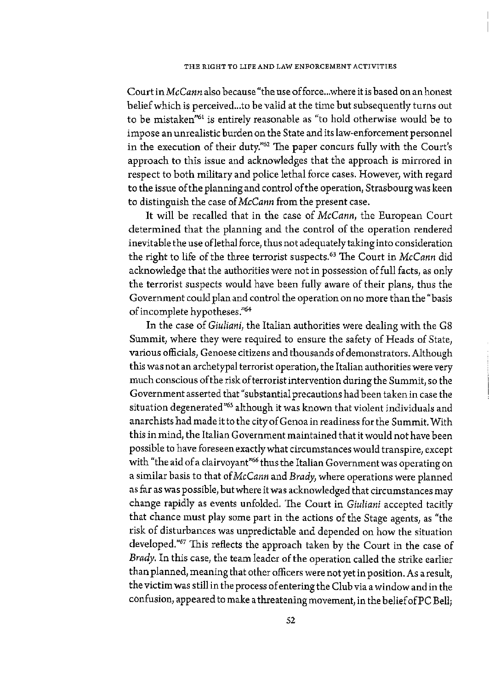Court *inMcCann* also because "the use offorce ... where it is based on an honest belief which is perceived ... to be valid at the time but subsequently turns out to be mistaken"61 is entirely reasonable as "to hold otherwise would be to impose an unrealistic burden on the State and its law-enforcement personnel in the execution of their duty.<sup>"62</sup> The paper concurs fully with the Court's approach to this issue and acknowledges that the approach is mirrored in respect to both military and police lethal force cases. However, with regard to the issue of the planning and control of the operation, Strasbourg was keen to distinguish the case of *McCann* from the present case.

It will be recalled that in the case of *McCann,* the European Court determined that the planning and the control of the operation rendered inevitable the use oflethal force, thus not adequately taking into consideration the right to life of the three terrorist suspects. 63 The Court in *Mc Cann* did acknowledge that the authorities were not in possession of full facts, as only the terrorist suspects would have been fully aware of their plans, thus the Government could plan and control the operation on no more than the "basis of incomplete hypotheses."<sup>64</sup>

In the case of *Giuliani,* the Italian authorities were dealing with the GS Summit, where they were required to ensure the safety of Heads of State, various officials, Genoese citizens and thousands of demonstrators. Although this was not an archetypal terrorist operation, the Italian authorities were very much conscious of the risk of terrorist intervention during the Summit, so the Government asserted that "substantial precautions had been taken in case the situation degenerated<sup>"65</sup> although it was known that violent individuals and anarchists had made it to the city of Genoa in readiness for the Summit. With this in mind, the Italian Government maintained that it would not have been possible to have foreseen exactly what circumstances would transpire, except with "the aid of a clairvoyant"<sup>66</sup> thus the Italian Government was operating on a similar basis to that of *McCann* and *Brady,* where operations were planned as far as was possible, but where it was acknowledged that circumstances may change rapidly as events unfolded. The Court in *Giuliani* accepted tacitly that chance must play some part in the actions of the Stage agents, as "the risk of disturbances was unpredictable and depended on how the situation developed."67 This reflects the approach taken by the Court in the case of *Brady.* In this case, the team leader of the operation called the strike earlier than planned, meaning that other officers were not yet in position. As a result, the victim was still in the process of entering the Club via a window and in the confusion, appeared to make a threatening movement, in the belief of PC Bell;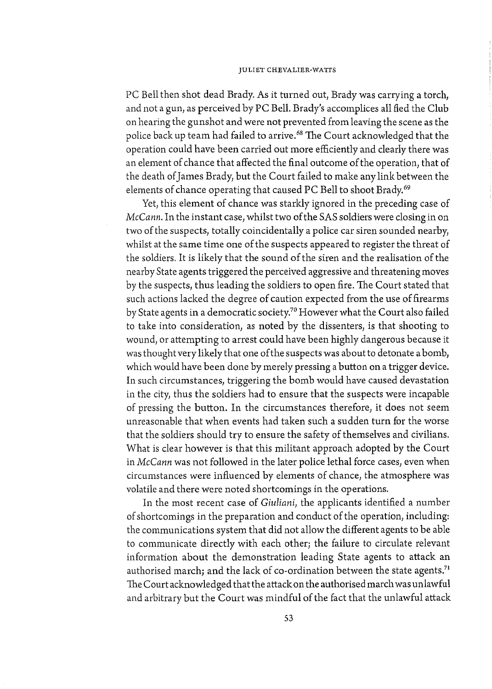PC Bell then shot dead Brady. As it turned out, Brady was carrying a torch, and not a gun, as perceived by PC Bell. Brady's accomplices all fled the Club on hearing the gunshot and were not prevented from leaving the scene as the police back up team had failed to arrive.<sup>68</sup> The Court acknowledged that the operation could have been carried out more efficiently and clearly there was an element of chance that affected the final outcome of the operation, that of the death of James Brady, but the Court failed to make any link between the elements of chance operating that caused PC Bell to shoot Brady.<sup>69</sup>

Yet, this element of chance was starkly ignored in the preceding case of *McCann.* In the instant case, whilst two of the SAS soldiers were closing in on two of the suspects, totally coincidentally a police car siren sounded nearby, whilst at the same time one of the suspects appeared to register the threat of the soldiers. It is likely that the sound of the siren and the realisation of the nearby State agents triggered the perceived aggressive and threatening moves by the suspects, thus leading the soldiers to open fire. 1he Court stated that such actions lacked the degree of caution expected from the use of firearms by State agents in a democratic society.70 However what the Court also failed to take into consideration, as noted by the dissenters, is that shooting to wound, or attempting to arrest could have been highly dangerous because it was thought very likely that one of the suspects was about to detonate a bomb, which would have been done by merely pressing a button on a trigger device. In such circumstances, triggering the bomb would have caused devastation in the city, thus the soldiers had to ensure that the suspects were incapable of pressing the button. In the circumstances therefore, it does not seem unreasonable that when events had taken such a sudden turn for the worse that the soldiers should try to ensure the safety of themselves and civilians. What is clear however is that this militant approach adopted by the Court in *McCann* was not followed in the later police lethal force cases, even when circumstances were influenced by elements of chance, the atmosphere was volatile and there were noted shortcomings in the operations.

In the most recent case of *Giuliani,* the applicants identified a number of shortcomings in the preparation and conduct of the operation, including: the communications system that did not allow the different agents to be able to communicate directly with each other; the failure to circulate relevant information about the demonstration leading State agents to attack an authorised march; and the lack of co-ordination between the state agents.<sup>71</sup> The Court acknowledged that the attack on the authorised march was unlawful and arbitrary but the Court was mindful of the fact that the unlawful attack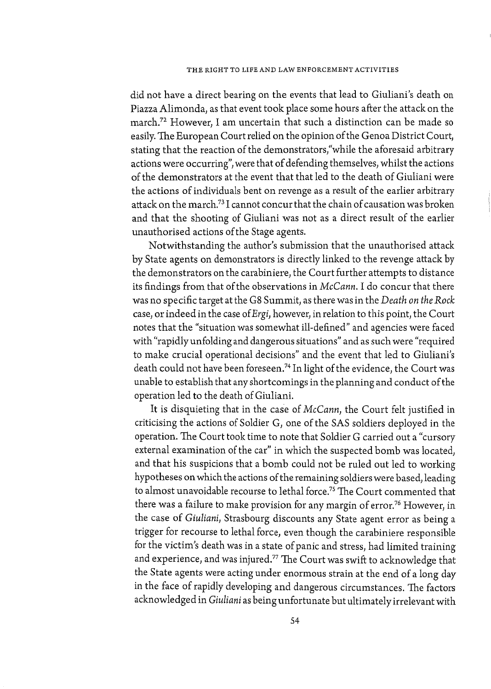did not have a direct bearing on the events that lead to Giuliani's death on Piazza Alimonda, as that event took place some hours after the attack on the march.72 However, I am uncertain that such a distinction can be made so easily. The European Court relied on the opinion of the Genoa District Court, stating that the reaction of the demonstrators,"while the aforesaid arbitrary actions were occurring", were that of defending themselves, whilst the actions of the demonstrators at the event that that led to the death of Giuliani were the actions of individuals bent on revenge as a result of the earlier arbitrary attack on the march.73 I cannot concur that the chain of causation was broken and that the shooting of Giuliani was not as a direct result of the earlier unauthorised actions of the Stage agents.

Notwithstanding the author's submission that the unauthorised attack by State agents on demonstrators is directly linked to the revenge attack by the demonstrators on the carabiniere, the Court further attempts to distance its findings from that of the observations in *Mc Cann.* I do concur that there was no specific target at the G8 Summit, as there was in the *Death on the Rock* case, or indeed in the case of *Ergi*, however, in relation to this point, the Court notes that the "situation was somewhat ill-defined" and agencies were faced with "rapidly unfolding and dangerous situations" and as such were "required to make crucial operational decisions" and the event that led to Giuliani's death could not have been foreseen.<sup>74</sup> In light of the evidence, the Court was unable to establish that any shortcomings in the planning and conduct of the operation led to the death of Giuliani.

It is disquieting that in the case of *McCann,* the Court felt justified in criticising the actions of Soldier G, one of the SAS soldiers deployed in the operation. The Court took time to note that Soldier G carried out a "cursory external examination of the car" in which the suspected bomb was located, and that his suspicions that a bomb could not be ruled out led to working hypotheses on which the actions of the remaining soldiers were based, leading to almost unavoidable recourse to lethal force.<sup>75</sup> The Court commented that there was a failure to make provision for any margin of error.<sup>76</sup> However, in the case of *Giuliani*, Strasbourg discounts any State agent error as being a trigger for recourse to lethal force, even though the carabiniere responsible for the victim's death was in a state of panic and stress, had limited training and experience, and was injured.77 The Court was swift to acknowledge that the State agents were acting under enormous strain at the end of a long day in the face of rapidly developing and dangerous circumstances. The factors acknowledged in *Giuliani* as being unfortunate but ultimately irrelevant with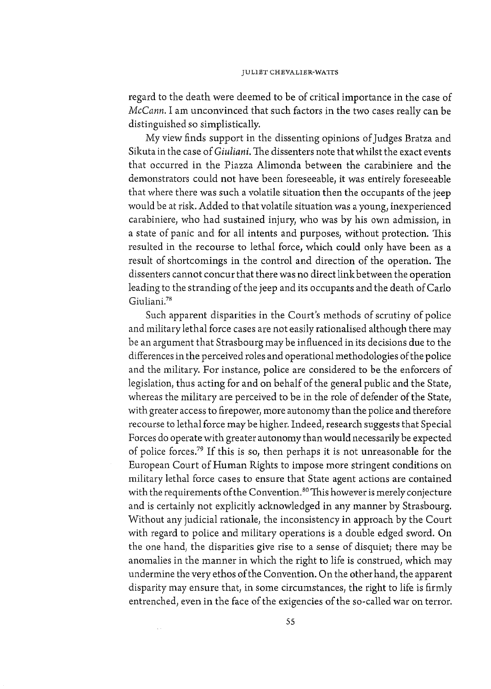### JULIET CHEVALIER-WATTS

regard to the death were deemed to be of critical importance in the case of *McCann.* I am unconvinced that such factors in the two cases really can be distinguished so simplistically.

My view finds support in the dissenting opinions of Judges Bratza and Sikuta in the case of *Giuliani.* The dissenters note that whilst the exact events that occurred in the Piazza Alimonda between the carabiniere and the demonstrators could not have been foreseeable, it was entirely foreseeable that where there was such a volatile situation then the occupants of the jeep would be at risk. Added to that volatile situation was a young, inexperienced carabiniere, who had sustained injury, who was by his own admission, in a state of panic and for all intents and purposes, without protection. This resulted in the recourse to lethal force, which could only have been as a result of shortcomings in the control and direction of the operation. The dissenters cannot concur that there was no direct link between the operation leading to the stranding of the jeep and its occupants and the death of Carlo Giuliani.78

Such apparent disparities in the Court's methods of scrutiny of police and military lethal force cases are not easily rationalised although there may be an argument that Strasbourg may be influenced in its decisions due to the differences in the perceived roles and operational methodologies of the police and the military. For instance, police are considered to be the enforcers of legislation, thus acting for and on behalf of the general public and the State, whereas the military are perceived to be in the role of defender of the State, with greater access to firepower, more autonomy than the police and therefore recourse to lethal force may be higher. Indeed, research suggests that Special Forces do operate with greater autonomy than would necessarily be expected of police forces.79 If this is so, then perhaps it is not unreasonable for the European Court of Human Rights to impose more stringent conditions on military lethal force cases to ensure that State agent actions are contained with the requirements of the Convention.<sup>80</sup> This however is merely conjecture and is certainly not explicitly acknowledged in any manner by Strasbourg. Without any judicial rationale, the inconsistency in approach by the Court with regard to police and military operations is a double edged sword. On the one hand, the disparities give rise to a sense of disquiet; there may be anomalies in the manner in which the right to life is construed, which may undermine the very ethos of the Convention. On the other hand, the apparent disparity may ensure that, in some circumstances, the right to life is firmly entrenched, even in the face of the exigencies of the so-called war on terror.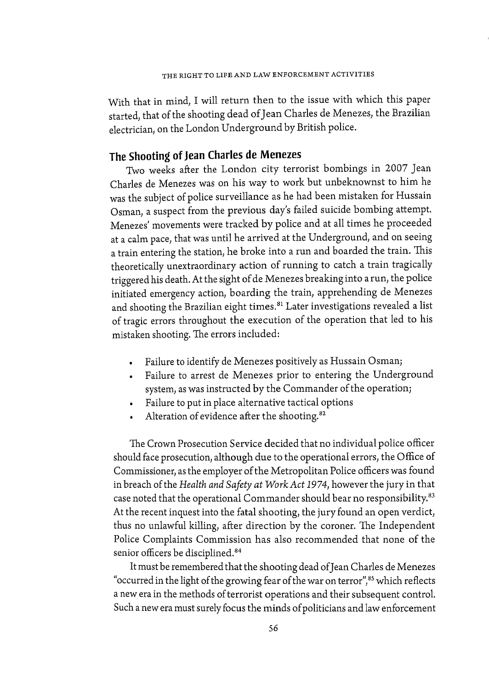With that in mind, I will return then to the issue with which this paper started, that of the shooting dead of Jean Charles de Menezes, the Brazilian electrician, on the London Underground by British police.

# **The Shooting of Jean Charles de Menezes**

Two weeks after the London city terrorist bombings in 2007 Jean Charles de Menezes was on his way to work but unbeknownst to him he was the subject of police surveillance as he had been mistaken for Hussain Osman, a suspect from the previous day's failed suicide bombing attempt. Menezes' movements were tracked by police and at all times he proceeded at a calm pace, that was until he arrived at the Underground, and on seeing a train entering the station, he broke into a run and boarded the train. This theoretically unextraordinary action of running to catch a train tragically triggered his death. At the sight of de Menezes breaking into a run, the police initiated emergency action, boarding the train, apprehending de Menezes and shooting the Brazilian eight times.<sup>81</sup> Later investigations revealed a list of tragic errors throughout the execution of the operation that led to his mistaken shooting. The errors included:

- Failure to identify de Menezes positively as Hussain Osman;
- Failure to arrest de Menezes prior to entering the Underground system, as was instructed by the Commander of the operation;
- Failure to put in place alternative tactical options
- Alteration of evidence after the shooting. 82

The Crown Prosecution Service decided that no individual police officer should face prosecution, although due to the operational errors, the Office of Commissioner, as the employer of the Metropolitan Police officers was found in breach of the *Health and Safety at Work Act 1974,* however the jury in that case noted that the operational Commander should bear no responsibility.<sup>83</sup> At the recent inquest into the fatal shooting, the jury found an open verdict, thus no unlawful killing, after direction by the coroner. The Independent Police Complaints Commission has also recommended that none of the senior officers be disciplined.<sup>84</sup>

It must be remembered that the shooting dead of Jean Charles de Menezes "occurred in the light of the growing fear of the war on terror",<sup>85</sup> which reflects a new era in the methods of terrorist operations and their subsequent control. Such a new era must surely focus the minds of politicians and law enforcement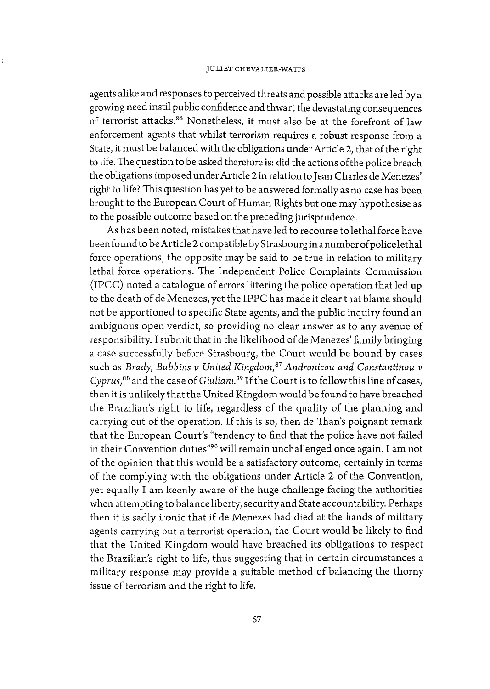agents alike and responses to perceived threats and possible attacks are led by a growing need instil public confidence and thwart the devastating consequences of terrorist attacks.<sup>86</sup> Nonetheless, it must also be at the forefront of law enforcement agents that whilst terrorism requires a robust response from a State, it must be balanced with the obligations under Article 2, that of the right to life. The question to be asked therefore is: did the actions of the police breach the obligations imposed under Article 2 in relation to Jean Charles de Menezes' right to life? 'This question has yet to be answered formally as no case has been brought to the European Court of Human Rights but one may hypothesise as to the possible outcome based on the preceding jurisprudence.

As has been noted, mistakes that have led to recourse to lethal force have been found to be Article 2 compatible by Strasbourg in a number of police lethal force operations; the opposite may be said to be true in relation to military lethal force operations. The Independent Police Complaints Commission (IPCC) noted a catalogue of errors littering the police operation that led up to the death of de Menezes, yet the IPPC has made it clear that blame should not be apportioned to specific State agents, and the public inquiry found an ambiguous open verdict, so providing no clear answer as to any avenue of responsibility. I submit that in the likelihood of de Menezes' family bringing a case successfully before Strasbourg, the Court would be bound by cases such as *Brady*, Bubbins v United Kingdom,<sup>87</sup> Andronicou and Constantinou v *Cyprus*,<sup>88</sup> and the case of *Giuliani*.<sup>89</sup> If the Court is to follow this line of cases, then it is unlikely that the United Kingdom would be found to have breached the Brazilian's right to life, regardless of the quality of the planning and carrying out of the operation. If this is so, then de Than's poignant remark that the European Court's "tendency to find that the police have not failed in their Convention duties"90 will remain unchallenged once again. I am not of the opinion that this would be a satisfactory outcome, certainly in terms of the complying with the obligations under Article 2 of the Convention, yet equally I am keenly aware of the huge challenge facing the authorities when attempting to balance liberty, security and State accountability. Perhaps then it is sadly ironic that if de Menezes had died at the hands of military agents carrying out a terrorist operation, the Court would be likely to find that the United Kingdom would have breached its obligations to respect the Brazilian's right to life, thus suggesting that in certain circumstances a military response may provide a suitable method of balancing the thorny issue of terrorism and the right to life.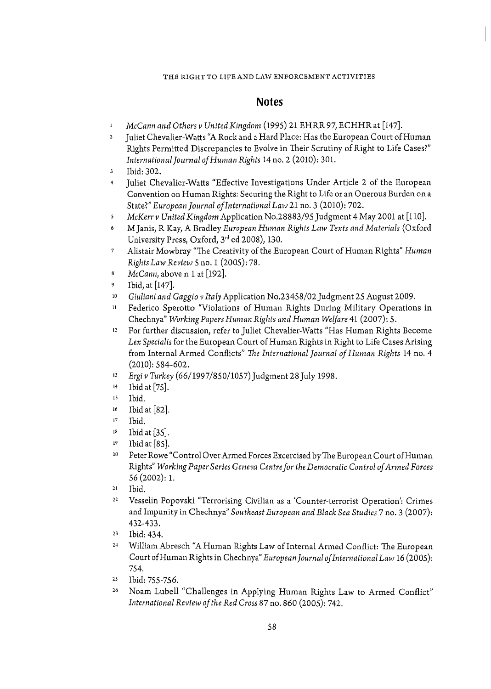### THE RIGHT TO LIFE AND LAW ENFORCEMENT ACTIVITIES

# **Notes**

- *McCann and Others v United Kingdom* (1995) 21 EHRR 97, ECHHR at [147].  $\mathbf 1$
- $\overline{2}$ Juliet Chevalier-Watts "A Rock and a Hard Place: Has the European Court of Human Rights Permitted Discrepancies to Evolve in Their Scrutiny of Right to Life Cases?" *International Journal of Human Rights* 14 no. 2 (2010): 301.
- Ibid: 302.  $\mathbf{3}$
- $\ddot{4}$ Juliet Chevalier-Watts "Effective Investigations Under Article 2 of the European Convention on Human Rights: Securing the Right to Life or an Onerous Burden on a State?" *European Journal of International Law* 21 no. 3 (2010): 702.
- *McKerr v United Kingdom* Application No.28883/95 Judgment 4 May 2001 at [llO].  $\mathsf S$
- MJanis, R Kay, A Bradley *European Human Rights Law Texts and Materials* (Oxford  $\ddot{\phantom{a}}$ University Press, Oxford, 3rd ed 2008), 130.
- Alistair Mowbray "The Creativity of the European Court of Human Rights" *Human*   $\overline{7}$ *Rights Law Review* 5 no. 1 (2005): 78.
- *McCann,* above n 1 at [192].  $\bf{8}$
- $\mathbf{Q}$ Ibid, at [147].
- 10 *Giuliani and Gaggio v Italy Application No.23458/02 Judgment 25 August 2009.*
- ll Federico Sperotto "Violations of Human Rights During Military Operations in Chechnya" *Working Papers Human Rights and Human Welfare* 41 (2007): 5.
- 12 For further discussion, refer to Juliet Chevalier-Watts "Has Human Rights Become *Lex Specialis* for the European Court of Human Rights in Right to Life Cases Arising from Internal Armed Conflicts" *The International Journal of Human Rights* 14 no. 4 (2010): 584-602.
- 13 *Ergi v Turkey* (66/1997/850/1057) Judgment 28 July 1998.
- 14 Ibid at [75].
- 15 Ibid.
- 16 Ibid at [82].
- 17 Ibid.
- 18 Ibid at [35].
- 19 Ibid at [ 85].
- 20 Peter Rowe "Control Over Armed Forces Excercised by The European Court of Human Rights" *Working Paper Series Geneva Centre for the Democratic Control of Armed Forces*  56 (2002): l.
- 21 Ibid.
- 22 Vesselin Popovski "Terrorising Civilian as a 'Counter-terrorist Operation': Crimes and Impunity in Chechnya" *Southeast European and Black Sea Studies* 7 no. 3 (2007): 432-433.
- 23 Ibid: 434.
- 24 William Abresch "A Human Rights Law of Internal Armed Conflict: The European Court of Human Rights in Chechnya" *European Journal of International Law* 16 (2005): 754.
- 25 Ibid: 755-756.
- 26 Noam Lubell "Challenges in Applying Human Rights Law to Armed Conflict" *International Review of the Red Cross* 87 no. 860 (2005): 742.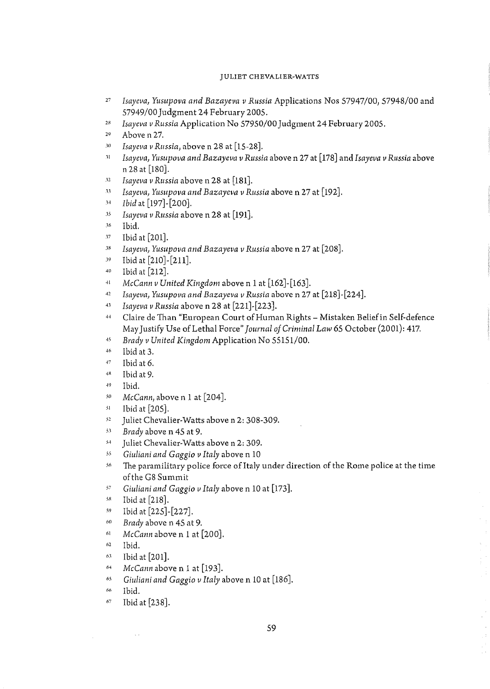### JULIET CHEVALIER-WATTS

- <sup>27</sup>*Isayeva, Yusupova and Bazayeva* 11 *Russia* Applications Nos 57947/00, 57948/00 and 57949/00 Judgment 24 February 2005.
- <sup>28</sup>*Isayeva v Russia* Application No 57950/00 Judgment 24 February 2005.
- <sup>29</sup> Above n 27.
- .1o *Isaye11a* 11 *Russia,* above n 28 at [15-28].
- <sup>11</sup>*Isaye11a, Yusupova and Bazayeva v Russia* above n 27 at [178] and *Isayeva v Russia* above n 28 at [lso].
- .12 *Isaye11a v Russia* above n 28 at [181].
- <sup>33</sup> *Isayeva, Yusupova and Bazayeva v Russia* above n 27 at [192].
- <sup>1</sup><sup>4</sup>*Ibid* at [197]-[200].
- <sup>35</sup> *Isayeva v Russia* above n 28 at [191].
- 36 Ibid.
- .17 Ibid at [201].
- <sup>38</sup> *Isayeva, Yusupova and Bazayeva v Russia* above n 27 at [208].
- $19$  Ibid at [210]-[211].
- 4n Ibid at [212].
- <sup>41</sup> McCann *v* United Kingdom above n 1 at [162]-[163].
- <sup>42</sup> Isayeva, Yusupova and Bazayeva v Russia above n 27 at [218]-[224].
- AJ *Isayeva* 11 *Russia* above **n** 28 at [221]-[223].
- 4• 1 Claire de Than "European Court of Human Rights - Mistaken Belief in Self-defence May Justify Use of Lethal Force" *Journal of Criminal Law* 65 October (2001): 417.
- 4, *Brady v United Kingdom* Application No 55151/00.
- · <sup>16</sup>**Ibid at 3 .**
- $47$  Ibid at 6.
- 48 Ibid at 9.
- · 19 Ibid.
- sn *McCann,* above n 1 at [204].
- s1 Ibid at [205].
- <sup>52</sup> Juliet Chevalier-Watts above n 2: 308-309.
- s.1 *Brady* above n 45 at 9.
- <sup>54</sup> Juliet Chevalier-Watts above n 2: 309.
- <sup>55</sup> Giuliani and Gaggio *v* Italy above n 10
- <sup>56</sup> The paramilitary police force of Italy under direction of the Rome police at the time of the GS Summit
- <sup>57</sup> Giuliani and Gaggio *v* Italy above n 10 at [173].
- ss Ibid at [218].
- $^{59}$  Ibid at  $[225]$ - $[227]$ .
- <sup>60</sup>*Brady* above n 45 at 9.
- <sup>61</sup> McCann above n 1 at [200].
- 62 Ibid.
- 6.1 Ibid at [201].
- <sup>64</sup> McCann above n 1 at [193].
- <sup>65</sup> Giuliani and Gaggio v Italy above n 10 at [186].
- <sup>66</sup> Ibid.
- 67 Ibid at [238].

 $\sim$  .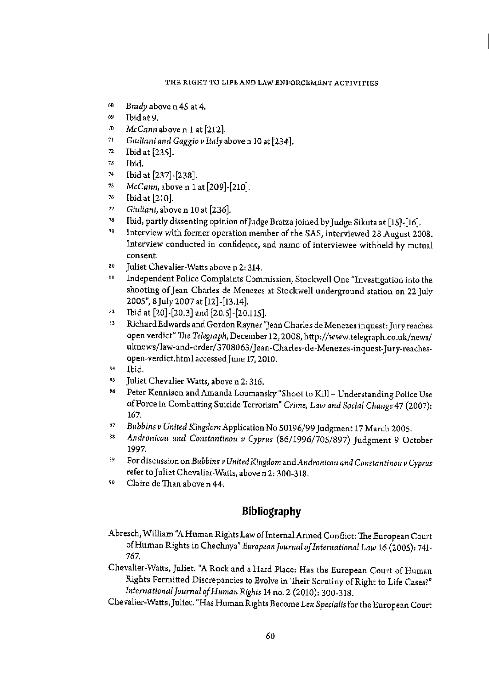### THE RIGHT TO LIFE AND LAW ENFORCEMENT ACTIVITIES

- <sup>68</sup> Brady above n 45 at 4.
- 69 Ibid at 9.
- <sup>10</sup>*McCann* above n 1 at [212).
- <sup>11</sup>*Giuliani and Gaggio v Italyaboven* 10 at [234].
- *n* Ibid at [235].
- " Ibid.
- $^{74}$  Ibid at [237]-[238].
- 1s *McCann,* above n 1 at [209]·[210].
- " Ibid at [210].
- " *Giuliani,* above n 10 at [236].
- $^{78}$  Ibid, partly dissenting opinion of Judge Bratza joined by Judge Sikuta at [15]-[16].
- <sup>79</sup> Interview with former operation member of the SAS, interviewed 28 August 2008. Interview conducted in confidence, and name of interviewee withheld by mutual consent.
- <sup>80</sup> Juliet Chevalier-Watts above n 2: 314.
- <sup>81</sup> Independent Police Complaints Commission, Stockwell One "Investigation into the shooting of Jean Charles de Menezes at Stockwell underground station on 22 July 2005'', 8Juiy2007 at [12]-[13.14).
- $^{82}$  Ibid at [20]-[20.3] and [20.5]-[20.115].<br> $^{83}$  Pichard Edwards and Cardon Boynas"
- 3 Richard Edwards and Gordon Rayner"Jean Charles de Menezes inquest:Jury reaches open verdict" *The* Telegraph,December 12, 2008, http://www.telegraph.co.uk/news/ uknews/law-and-order/3708063/Jean-Charles-de-Menezes-inquest-Jury-reaches· open-verdict.html accessed June 17, 2010.
- 
- <sup>84</sup> Ibid.<br><sup>85</sup> Juliet Chevalier-Watts, above n 2: 316.
- <sup>36</sup> Peter Kennison and Amanda Loumansky "Shoot to Kill Understanding Police Use of Force in Combatting Suicide Terrorism" *Crime, Law and Social Change* 47 (2007): 167.
- 
- <sup>87</sup>*Bubbins v United Kingdom* Application No 50196/99 Judgment 17 March 2005. 88 *Andronicou and Constantinou v Cyprus* (86/1996/705/897) Judgment 9 October 1997.
- 89 For discussion on *Bubbins v United Kingdom* and Andronicou and Constantinou v Cyprus refer to Juliet Chevalier-Watts, above n 2: 300-318.
- 90 Claire de Than above n 44.

# Bibliography

- Abresch, William "A Human Rights Law of Internal Armed Conflict: The European Court of Human Rights in Chechnya" *European Journal of International Law* 16 (2005): 741- 767.
- Chevalier-Watts, Juliet. ''A Rock and a Hard Place: Has the European Court of Human Rights Permitted Discrepancies to Evolve in Their Scrutiny of Right to Life Cases?" *International Journal of Human Rights* 14 no. 2 (2010): 300-318.
- Chevalier-Watts <sup>1</sup>Juliet. "Has Human Rights Become *Lex Specialis* for the European Court